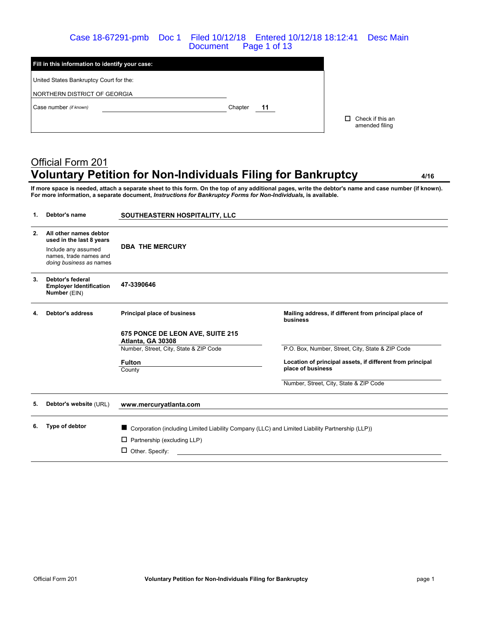#### Case 18-67291-pmb Doc 1 Filed 10/12/18 Entered 10/12/18 18:12:41 Desc Main Document Page 1 of 13

| Fill in this information to identify your case: |               |                                    |
|-------------------------------------------------|---------------|------------------------------------|
| United States Bankruptcy Court for the:         |               |                                    |
| NORTHERN DISTRICT OF GEORGIA                    |               |                                    |
| Case number (if known)                          | Chapter<br>11 |                                    |
|                                                 |               | Check if this an<br>amended filing |

# Official Form 201 **Voluntary Petition for Non-Individuals Filing for Bankruptcy 4/16**

**If more space is needed, attach a separate sheet to this form. On the top of any additional pages, write the debtor's name and case number (if known).** For more information, a separate document, *Instructions for Bankruptcy Forms for Non-Individuals*, is available.

| 1. | Debtor's name                                                                                                                  | SOUTHEASTERN HOSPITALITY, LLC                                                                   |                                                                                |
|----|--------------------------------------------------------------------------------------------------------------------------------|-------------------------------------------------------------------------------------------------|--------------------------------------------------------------------------------|
| 2. | All other names debtor<br>used in the last 8 years<br>Include any assumed<br>names, trade names and<br>doing business as names | <b>DBA THE MERCURY</b>                                                                          |                                                                                |
| 3. | Debtor's federal<br><b>Employer Identification</b><br>Number (EIN)                                                             | 47-3390646                                                                                      |                                                                                |
| 4. | <b>Debtor's address</b>                                                                                                        | Principal place of business                                                                     | Mailing address, if different from principal place of<br>business              |
|    |                                                                                                                                | 675 PONCE DE LEON AVE, SUITE 215<br>Atlanta, GA 30308                                           |                                                                                |
|    |                                                                                                                                | Number, Street, City, State & ZIP Code                                                          | P.O. Box, Number, Street, City, State & ZIP Code                               |
|    |                                                                                                                                | <b>Fulton</b><br>County                                                                         | Location of principal assets, if different from principal<br>place of business |
|    |                                                                                                                                |                                                                                                 | Number, Street, City, State & ZIP Code                                         |
| 5. | Debtor's website (URL)                                                                                                         | www.mercuryatlanta.com                                                                          |                                                                                |
| 6. | Type of debtor                                                                                                                 | Corporation (including Limited Liability Company (LLC) and Limited Liability Partnership (LLP)) |                                                                                |
|    |                                                                                                                                | Partnership (excluding LLP)<br>□                                                                |                                                                                |
|    |                                                                                                                                | Other. Specify:<br>□                                                                            |                                                                                |
|    |                                                                                                                                |                                                                                                 |                                                                                |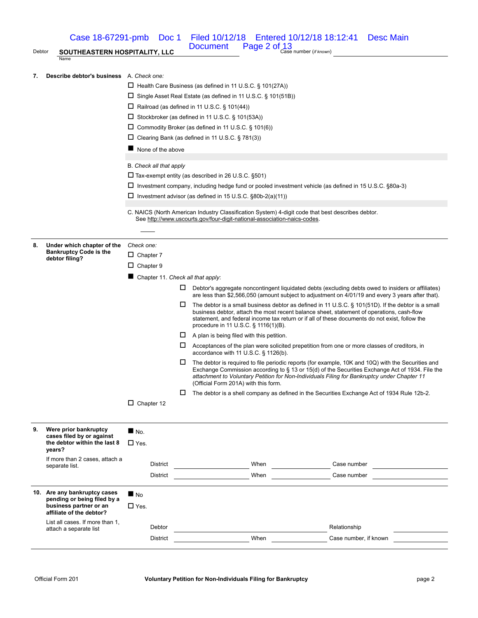Case 18-67291-pmb Doc 1 Filed 10/12/18 Entered 10/12/18 18:12:41 Desc Main Page  $2$  of  $\frac{13}{2}$  Case number (*if known*)

# Debtor **SOUTHEASTERN HOSPITALITY, LLC** DOCUMENT

#### **7. Describe debtor's business** A. *Check one:*

Name

- □ Health Care Business (as defined in 11 U.S.C. § 101(27A))
	- □ Single Asset Real Estate (as defined in 11 U.S.C. § 101(51B))
	- □ Railroad (as defined in 11 U.S.C. § 101(44))
	- $\square$  Stockbroker (as defined in 11 U.S.C. § 101(53A))
	- Commodity Broker (as defined in 11 U.S.C. § 101(6))
	- □ Clearing Bank (as defined in 11 U.S.C. § 781(3))
	- $\blacksquare$  None of the above

#### B. *Check all that apply*

- $\square$  Tax-exempt entity (as described in 26 U.S.C. §501)
- Investment company, including hedge fund or pooled investment vehicle (as defined in 15 U.S.C. §80a-3)
- $\square$  Investment advisor (as defined in 15 U.S.C. §80b-2(a)(11))
- C. NAICS (North American Industry Classification System) 4-digit code that best describes debtor. See http://www.uscourts.gov/four-digit-national-association-naics-codes.

**8. Under which chapter of the Bankruptcy Code is the debtor filing?** *Check one:*  $\Box$  Chapter 7

 $\square$  Chapter 9

■ Chapter 11. *Check all that apply*:

- Debtor's aggregate noncontingent liquidated debts (excluding debts owed to insiders or affiliates) are less than \$2,566,050 (amount subject to adjustment on 4/01/19 and every 3 years after that).
- $\square$  The debtor is a small business debtor as defined in 11 U.S.C. § 101(51D). If the debtor is a small business debtor, attach the most recent balance sheet, statement of operations, cash-flow statement, and federal income tax return or if all of these documents do not exist, follow the procedure in 11 U.S.C. § 1116(1)(B).
- $\Box$  A plan is being filed with this petition.
- $\Box$  Acceptances of the plan were solicited prepetition from one or more classes of creditors, in accordance with 11 U.S.C. § 1126(b).
- $\Box$  The debtor is required to file periodic reports (for example, 10K and 10Q) with the Securities and Exchange Commission according to § 13 or 15(d) of the Securities Exchange Act of 1934. File the *attachment to Voluntary Petition for Non-Individuals Filing for Bankruptcy under Chapter 11* (Official Form 201A) with this form.
- $\Box$  The debtor is a shell company as defined in the Securities Exchange Act of 1934 Rule 12b-2.

□ Chapter 12

| 9.  | Were prior bankruptcy<br>cases filed by or against<br>the debtor within the last 8<br>years?                  | $N_{\rm O}$ .     |      |                       |  |
|-----|---------------------------------------------------------------------------------------------------------------|-------------------|------|-----------------------|--|
|     |                                                                                                               | $\square$ Yes.    |      |                       |  |
|     | If more than 2 cases, attach a<br>separate list.                                                              | <b>District</b>   | When | Case number           |  |
|     |                                                                                                               | <b>District</b>   | When | Case number           |  |
|     |                                                                                                               |                   |      |                       |  |
| 10. | Are any bankruptcy cases<br>pending or being filed by a<br>business partner or an<br>affiliate of the debtor? | $\blacksquare$ No |      |                       |  |
|     |                                                                                                               | $\square$ Yes.    |      |                       |  |
|     | List all cases. If more than 1,<br>attach a separate list                                                     | Debtor            |      | Relationship          |  |
|     |                                                                                                               | <b>District</b>   | When | Case number, if known |  |
|     |                                                                                                               |                   |      |                       |  |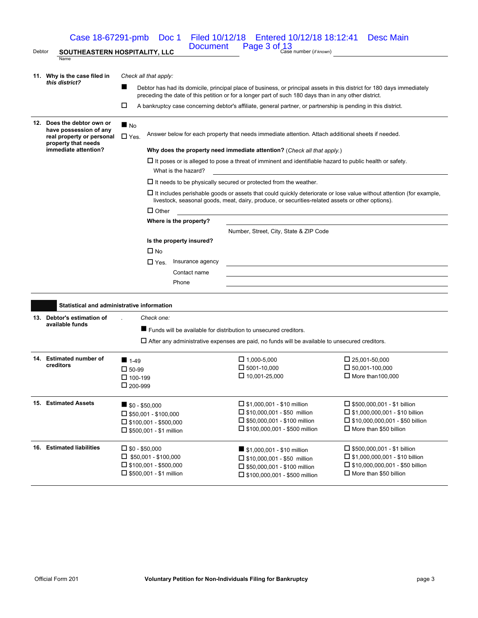|        | Case 18-67291-pmb                                    |                                                                                                                                                                                                                             | Doc 1                                                                                              | Filed 10/12/18   Entered 10/12/18   18:12:41                                                                     | Desc Main                                                                                                                                                                                                                     |  |  |  |
|--------|------------------------------------------------------|-----------------------------------------------------------------------------------------------------------------------------------------------------------------------------------------------------------------------------|----------------------------------------------------------------------------------------------------|------------------------------------------------------------------------------------------------------------------|-------------------------------------------------------------------------------------------------------------------------------------------------------------------------------------------------------------------------------|--|--|--|
| Debtor | SOUTHEASTERN HOSPITALITY, LLC                        |                                                                                                                                                                                                                             | <b>Document</b>                                                                                    | Page 3 of 13<br>Case number (if known)                                                                           |                                                                                                                                                                                                                               |  |  |  |
|        | Name                                                 |                                                                                                                                                                                                                             |                                                                                                    |                                                                                                                  |                                                                                                                                                                                                                               |  |  |  |
|        | 11. Why is the case filed in                         | Check all that apply:                                                                                                                                                                                                       |                                                                                                    |                                                                                                                  |                                                                                                                                                                                                                               |  |  |  |
|        | this district?                                       | ■<br>Debtor has had its domicile, principal place of business, or principal assets in this district for 180 days immediately                                                                                                |                                                                                                    |                                                                                                                  |                                                                                                                                                                                                                               |  |  |  |
|        |                                                      | preceding the date of this petition or for a longer part of such 180 days than in any other district.<br>□<br>A bankruptcy case concerning debtor's affiliate, general partner, or partnership is pending in this district. |                                                                                                    |                                                                                                                  |                                                                                                                                                                                                                               |  |  |  |
|        |                                                      |                                                                                                                                                                                                                             |                                                                                                    |                                                                                                                  |                                                                                                                                                                                                                               |  |  |  |
|        | 12. Does the debtor own or<br>have possession of any | $\blacksquare$ No                                                                                                                                                                                                           |                                                                                                    |                                                                                                                  |                                                                                                                                                                                                                               |  |  |  |
|        | real property or personal<br>property that needs     | $\Box$ Yes.                                                                                                                                                                                                                 | Answer below for each property that needs immediate attention. Attach additional sheets if needed. |                                                                                                                  |                                                                                                                                                                                                                               |  |  |  |
|        | immediate attention?                                 |                                                                                                                                                                                                                             |                                                                                                    | Why does the property need immediate attention? (Check all that apply.)                                          |                                                                                                                                                                                                                               |  |  |  |
|        |                                                      |                                                                                                                                                                                                                             |                                                                                                    | $\Box$ It poses or is alleged to pose a threat of imminent and identifiable hazard to public health or safety.   |                                                                                                                                                                                                                               |  |  |  |
|        |                                                      |                                                                                                                                                                                                                             | What is the hazard?                                                                                |                                                                                                                  |                                                                                                                                                                                                                               |  |  |  |
|        |                                                      |                                                                                                                                                                                                                             |                                                                                                    | $\Box$ It needs to be physically secured or protected from the weather.                                          |                                                                                                                                                                                                                               |  |  |  |
|        |                                                      |                                                                                                                                                                                                                             |                                                                                                    | livestock, seasonal goods, meat, dairy, produce, or securities-related assets or other options).                 | $\Box$ It includes perishable goods or assets that could quickly deteriorate or lose value without attention (for example,                                                                                                    |  |  |  |
|        |                                                      |                                                                                                                                                                                                                             | $\Box$ Other                                                                                       | and the control of the control of the control of the control of the control of the control of the control of the |                                                                                                                                                                                                                               |  |  |  |
|        |                                                      |                                                                                                                                                                                                                             | Where is the property?                                                                             |                                                                                                                  |                                                                                                                                                                                                                               |  |  |  |
|        |                                                      |                                                                                                                                                                                                                             |                                                                                                    | Number, Street, City, State & ZIP Code                                                                           |                                                                                                                                                                                                                               |  |  |  |
|        |                                                      |                                                                                                                                                                                                                             | Is the property insured?                                                                           |                                                                                                                  |                                                                                                                                                                                                                               |  |  |  |
|        |                                                      | $\Box$ No                                                                                                                                                                                                                   |                                                                                                    |                                                                                                                  |                                                                                                                                                                                                                               |  |  |  |
|        |                                                      | $\square$ Yes.                                                                                                                                                                                                              | Insurance agency                                                                                   |                                                                                                                  | the control of the control of the control of the control of the control of the control of the control of the control of the control of the control of the control of the control of the control of the control of the control |  |  |  |
|        |                                                      |                                                                                                                                                                                                                             | Contact name                                                                                       |                                                                                                                  |                                                                                                                                                                                                                               |  |  |  |
|        |                                                      |                                                                                                                                                                                                                             | Phone                                                                                              |                                                                                                                  |                                                                                                                                                                                                                               |  |  |  |
|        | Statistical and administrative information           |                                                                                                                                                                                                                             |                                                                                                    |                                                                                                                  |                                                                                                                                                                                                                               |  |  |  |
|        | 13. Debtor's estimation of                           | Check one:                                                                                                                                                                                                                  |                                                                                                    |                                                                                                                  |                                                                                                                                                                                                                               |  |  |  |
|        | available funds                                      |                                                                                                                                                                                                                             |                                                                                                    |                                                                                                                  |                                                                                                                                                                                                                               |  |  |  |
|        |                                                      |                                                                                                                                                                                                                             |                                                                                                    | ■ Funds will be available for distribution to unsecured creditors.                                               |                                                                                                                                                                                                                               |  |  |  |
|        |                                                      |                                                                                                                                                                                                                             |                                                                                                    | $\Box$ After any administrative expenses are paid, no funds will be available to unsecured creditors.            |                                                                                                                                                                                                                               |  |  |  |
|        | 14. Estimated number of                              | $1-49$                                                                                                                                                                                                                      |                                                                                                    | $\Box$ 1,000-5,000                                                                                               | $\Box$ 25,001-50,000                                                                                                                                                                                                          |  |  |  |
|        | creditors                                            | $\square$ 50-99                                                                                                                                                                                                             |                                                                                                    | $\Box$ 5001-10,000                                                                                               | $\Box$ 50,001-100,000                                                                                                                                                                                                         |  |  |  |
|        |                                                      | $\Box$ 100-199                                                                                                                                                                                                              |                                                                                                    | $\Box$ 10,001-25,000                                                                                             | $\Box$ More than 100,000                                                                                                                                                                                                      |  |  |  |
|        |                                                      | $L1 200 - 999$                                                                                                                                                                                                              |                                                                                                    |                                                                                                                  |                                                                                                                                                                                                                               |  |  |  |
|        | 15. Estimated Assets                                 | $\blacksquare$ \$0 - \$50,000                                                                                                                                                                                               |                                                                                                    | $\Box$ \$1,000,001 - \$10 million                                                                                | $\Box$ \$500,000,001 - \$1 billion                                                                                                                                                                                            |  |  |  |
|        |                                                      | $\Box$ \$50,001 - \$100,000                                                                                                                                                                                                 |                                                                                                    | $\Box$ \$10,000,001 - \$50 million                                                                               | $\Box$ \$1,000,000,001 - \$10 billion                                                                                                                                                                                         |  |  |  |
|        |                                                      | $\Box$ \$100,001 - \$500,000                                                                                                                                                                                                |                                                                                                    | $\Box$ \$50,000,001 - \$100 million                                                                              | $\Box$ \$10,000,000,001 - \$50 billion                                                                                                                                                                                        |  |  |  |
|        |                                                      | $\square$ \$500,001 - \$1 million                                                                                                                                                                                           |                                                                                                    | $\Box$ \$100,000,001 - \$500 million                                                                             | $\Box$ More than \$50 billion                                                                                                                                                                                                 |  |  |  |
|        | 16. Estimated liabilities                            | $\square$ \$0 - \$50,000                                                                                                                                                                                                    |                                                                                                    | \$1,000,001 - \$10 million                                                                                       | $\Box$ \$500,000,001 - \$1 billion                                                                                                                                                                                            |  |  |  |
|        |                                                      | $\square$ \$50,001 - \$100,000                                                                                                                                                                                              |                                                                                                    | $\Box$ \$10,000,001 - \$50 million                                                                               | $\Box$ \$1,000,000,001 - \$10 billion                                                                                                                                                                                         |  |  |  |
|        |                                                      | $\Box$ \$100,001 - \$500,000                                                                                                                                                                                                |                                                                                                    | $\Box$ \$50,000,001 - \$100 million                                                                              | $\Box$ \$10,000,000,001 - \$50 billion                                                                                                                                                                                        |  |  |  |
|        |                                                      | $\Box$ \$500,001 - \$1 million                                                                                                                                                                                              |                                                                                                    | □ \$100,000,001 - \$500 million                                                                                  | More than \$50 billion                                                                                                                                                                                                        |  |  |  |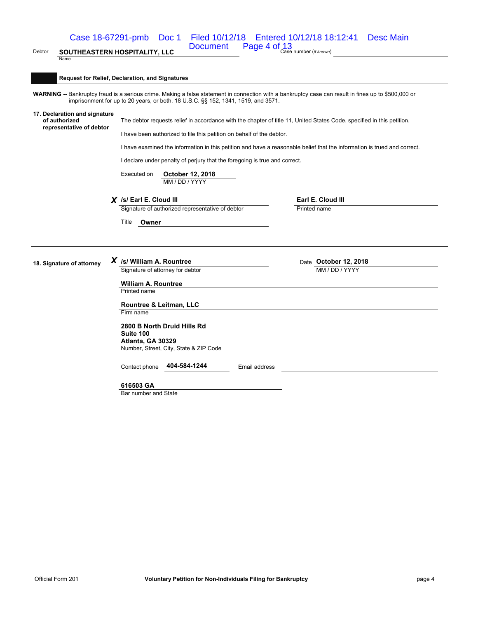Case 18-67291-pmb Doc 1 Filed 10/12/18 Entered 10/12/18 18:12:41 Desc Main

Debtor **SOUTHEASTERN HOSPITALITY, LLC** DOCUMENT

Page  $4$  of  $\frac{13}{2}$  Case number (*if known*)

**Request for Relief, Declaration, and Signatures**

**WARNING --** Bankruptcy fraud is a serious crime. Making a false statement in connection with a bankruptcy case can result in fines up to \$500,000 or imprisonment for up to 20 years, or both. 18 U.S.C. §§ 152, 1341, 1519, and 3571.

**17. Declaration and signature of authorized representative of debtor**

Name

The debtor requests relief in accordance with the chapter of title 11, United States Code, specified in this petition.

I have been authorized to file this petition on behalf of the debtor.

I have examined the information in this petition and have a reasonable belief that the information is trued and correct.

I declare under penalty of perjury that the foregoing is true and correct.

Executed on **October 12, 2018** MM / DD / YYYY

*X* **/s/ Earl E. Cloud III Earl E. Cloud III** Signature of authorized representative of debtor

Title **Owner**

18. Signature of attorney  $X$  /s/ William A. Rountree **Date Bulliam A. Rountree** Date **October 12, 2018**<br>
Signature of attorney for debtor

Signature of attorney for debtor

**William A. Rountree** Printed name

**Rountree & Leitman, LLC** Firm name

**2800 B North Druid Hills Rd Suite 100 Atlanta, GA 30329** Number, Street, City, State & ZIP Code

Contact phone **404-584-1244** Email address

**616503 GA**

Bar number and State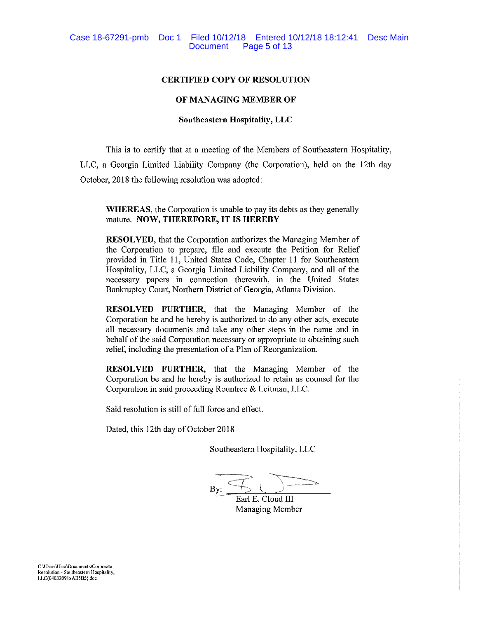## **CERTIFIED COPY OF RESOLUTION**

## OF MANAGING MEMBER OF

## **Southeastern Hospitality, LLC**

This is to certify that at a meeting of the Members of Southeastern Hospitality, LLC, a Georgia Limited Liability Company (the Corporation), held on the 12th day October, 2018 the following resolution was adopted:

**WHEREAS**, the Corporation is unable to pay its debts as they generally mature. NOW, THEREFORE, IT IS HEREBY

**RESOLVED**, that the Corporation authorizes the Managing Member of the Corporation to prepare, file and execute the Petition for Relief provided in Title 11, United States Code, Chapter 11 for Southeastern Hospitality, LLC, a Georgia Limited Liability Company, and all of the necessary papers in connection therewith, in the United States Bankruptcy Court, Northern District of Georgia, Atlanta Division.

RESOLVED FURTHER, that the Managing Member of the Corporation be and he hereby is authorized to do any other acts, execute all necessary documents and take any other steps in the name and in behalf of the said Corporation necessary or appropriate to obtaining such relief, including the presentation of a Plan of Reorganization.

RESOLVED FURTHER, that the Managing Member of the Corporation be and he hereby is authorized to retain as counsel for the Corporation in said proceeding Rountree & Leitman, LLC.

Said resolution is still of full force and effect.

Dated, this 12th day of October 2018

Southeastern Hospitality, LLC

By:

Earl E. Cloud III Managing Member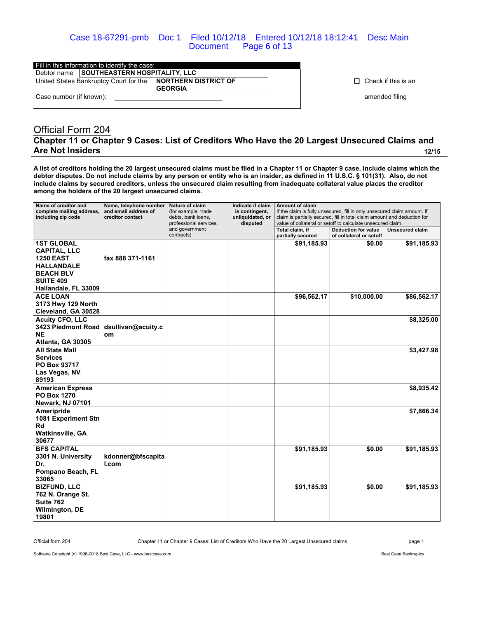Case 18-67291-pmb Doc 1 Filed 10/12/18 Entered 10/12/18 18:12:41 Desc Main Document Page 6 of 13

| Fill in this information to identify the case: |                         |                                           |                                                                                |  |  |  |
|------------------------------------------------|-------------------------|-------------------------------------------|--------------------------------------------------------------------------------|--|--|--|
|                                                |                         | Debtor name SOUTHEASTERN HOSPITALITY, LLC |                                                                                |  |  |  |
|                                                |                         |                                           | United States Bankruptcy Court for the: NORTHERN DISTRICT OF<br><b>GEORGIA</b> |  |  |  |
|                                                | Case number (if known): |                                           |                                                                                |  |  |  |

 $\Box$  Check if this is an

amended filing

## Official Form 204 **Chapter 11 or Chapter 9 Cases: List of Creditors Who Have the 20 Largest Unsecured Claims and Are Not Insiders 12/15**

**A list of creditors holding the 20 largest unsecured claims must be filed in a Chapter 11 or Chapter 9 case. Include claims which the debtor disputes. Do not include claims by any person or entity who is an insider, as defined in 11 U.S.C. § 101(31). Also, do not include claims by secured creditors, unless the unsecured claim resulting from inadequate collateral value places the creditor among the holders of the 20 largest unsecured claims.**

| Name of creditor and<br>complete mailing address,<br>including zip code                                                                           | Name, telephone number<br>and email address of<br>creditor contact | Nature of claim<br>(for example, trade<br>debts, bank loans,<br>professional services, | Indicate if claim<br>is contingent,<br>unliquidated, or<br>disputed | Amount of claim<br>If the claim is fully unsecured, fill in only unsecured claim amount. If<br>claim is partially secured, fill in total claim amount and deduction for<br>value of collateral or setoff to calculate unsecured claim. |                                                       |                        |
|---------------------------------------------------------------------------------------------------------------------------------------------------|--------------------------------------------------------------------|----------------------------------------------------------------------------------------|---------------------------------------------------------------------|----------------------------------------------------------------------------------------------------------------------------------------------------------------------------------------------------------------------------------------|-------------------------------------------------------|------------------------|
|                                                                                                                                                   |                                                                    | and government<br>contracts)                                                           |                                                                     | Total claim, if<br>partially secured                                                                                                                                                                                                   | <b>Deduction for value</b><br>of collateral or setoff | <b>Unsecured claim</b> |
| <b>1ST GLOBAL</b><br><b>CAPITAL, LLC</b><br><b>1250 EAST</b><br><b>HALLANDALE</b><br><b>BEACH BLV</b><br><b>SUITE 409</b><br>Hallandale, FL 33009 | fax 888 371-1161                                                   |                                                                                        |                                                                     | \$91,185.93                                                                                                                                                                                                                            | \$0.00                                                | \$91,185.93            |
| <b>ACE LOAN</b><br>3173 Hwy 129 North<br>Cleveland, GA 30528                                                                                      |                                                                    |                                                                                        |                                                                     | \$96,562.17                                                                                                                                                                                                                            | \$10,000.00                                           | \$86,562.17            |
| <b>Acuity CFO, LLC</b><br>3423 Piedmont Road<br><b>NE</b><br>Atlanta, GA 30305                                                                    | dsullivan@acuity.c<br>om                                           |                                                                                        |                                                                     |                                                                                                                                                                                                                                        |                                                       | \$8,325.00             |
| <b>All State Mall</b><br><b>Services</b><br>PO Box 93717<br>Las Vegas, NV<br>89193                                                                |                                                                    |                                                                                        |                                                                     |                                                                                                                                                                                                                                        |                                                       | \$3,427.98             |
| <b>American Express</b><br>PO Box 1270<br>Newark, NJ 07101                                                                                        |                                                                    |                                                                                        |                                                                     |                                                                                                                                                                                                                                        |                                                       | \$8,935.42             |
| Ameripride<br>1081 Experiment Stn<br>Rd<br><b>Watkinsville, GA</b><br>30677                                                                       |                                                                    |                                                                                        |                                                                     |                                                                                                                                                                                                                                        |                                                       | \$7,866.34             |
| <b>BFS CAPITAL</b><br>3301 N. University<br>Dr.<br>Pompano Beach, FL<br>33065                                                                     | kdonner@bfscapita<br>I.com                                         |                                                                                        |                                                                     | \$91,185.93                                                                                                                                                                                                                            | \$0.00                                                | \$91,185.93            |
| <b>BIZFUND, LLC</b><br>762 N. Orange St.<br>Suite 762<br><b>Wilmington, DE</b><br>19801                                                           |                                                                    |                                                                                        |                                                                     | \$91,185.93                                                                                                                                                                                                                            | \$0.00                                                | \$91,185.93            |

Official form 204 Chapter 11 or Chapter 9 Cases: List of Creditors Who Have the 20 Largest Unsecured claims page 1

Software Copyright (c) 1996-2018 Best Case, LLC - www.bestcase.com **Best Case Bankruptcy** Best Case Bankruptcy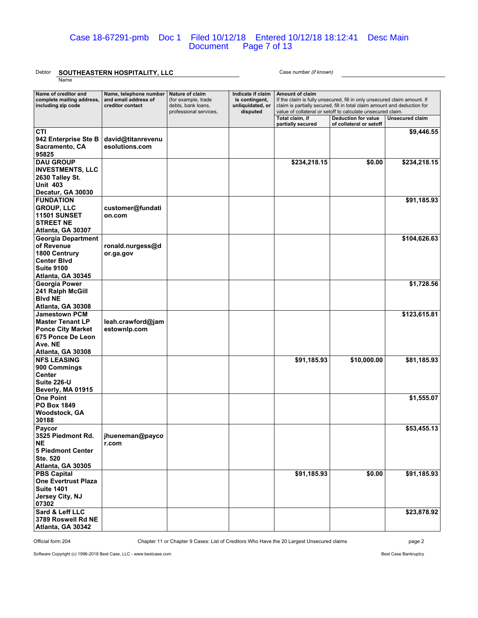## Case 18-67291-pmb Doc 1 Filed 10/12/18 Entered 10/12/18 18:12:41 Desc Main Document Page 7 of 13

## Debtor **SOUTHEASTERN HOSPITALITY, LLC** Case number *(if known)*

Name

| Name of creditor and<br>complete mailing address,<br>including zip code                                                          | Name, telephone number<br>and email address of<br>creditor contact | Nature of claim<br>(for example, trade<br>debts, bank loans,<br>professional services, | Indicate if claim<br>is contingent,<br>unliquidated, or<br>disputed | <b>Amount of claim</b><br>If the claim is fully unsecured, fill in only unsecured claim amount. If<br>claim is partially secured, fill in total claim amount and deduction for<br>value of collateral or setoff to calculate unsecured claim. |                                                       |                 |
|----------------------------------------------------------------------------------------------------------------------------------|--------------------------------------------------------------------|----------------------------------------------------------------------------------------|---------------------------------------------------------------------|-----------------------------------------------------------------------------------------------------------------------------------------------------------------------------------------------------------------------------------------------|-------------------------------------------------------|-----------------|
|                                                                                                                                  |                                                                    |                                                                                        |                                                                     | Total claim, if<br>partially secured                                                                                                                                                                                                          | <b>Deduction for value</b><br>of collateral or setoff | Unsecured claim |
| CTI<br>942 Enterprise Ste B<br>Sacramento, CA<br>95825                                                                           | david@titanrevenu<br>esolutions.com                                |                                                                                        |                                                                     |                                                                                                                                                                                                                                               |                                                       | \$9,446.55      |
| <b>DAU GROUP</b><br><b>INVESTMENTS, LLC</b><br>2630 Talley St.<br><b>Unit 403</b>                                                |                                                                    |                                                                                        |                                                                     | \$234,218.15                                                                                                                                                                                                                                  | \$0.00                                                | \$234,218.15    |
| Decatur, GA 30030                                                                                                                |                                                                    |                                                                                        |                                                                     |                                                                                                                                                                                                                                               |                                                       |                 |
| <b>FUNDATION</b><br><b>GROUP, LLC</b><br><b>11501 SUNSET</b><br><b>STREET NE</b><br>Atlanta, GA 30307                            | customer@fundati<br>on.com                                         |                                                                                        |                                                                     |                                                                                                                                                                                                                                               |                                                       | \$91,185.93     |
| <b>Georgia Department</b><br>of Revenue<br>1800 Centrury<br><b>Center Blvd</b><br><b>Suite 9100</b><br>Atlanta, GA 30345         | ronald.nurgess@d<br>or.ga.gov                                      |                                                                                        |                                                                     |                                                                                                                                                                                                                                               |                                                       | \$104,626.63    |
| <b>Georgia Power</b><br>241 Ralph McGill<br><b>Blvd NE</b><br>Atlanta, GA 30308                                                  |                                                                    |                                                                                        |                                                                     |                                                                                                                                                                                                                                               |                                                       | \$1,728.56      |
| <b>Jamestown PCM</b><br><b>Master Tenant LP</b><br><b>Ponce City Market</b><br>675 Ponce De Leon<br>Ave. NE<br>Atlanta, GA 30308 | leah.crawford@jam<br>estownlp.com                                  |                                                                                        |                                                                     |                                                                                                                                                                                                                                               |                                                       | \$123,615.81    |
| <b>NFS LEASING</b><br>900 Commings<br><b>Center</b><br>Suite 226-U<br>Beverly, MA 01915                                          |                                                                    |                                                                                        |                                                                     | \$91,185.93                                                                                                                                                                                                                                   | \$10,000.00                                           | \$81,185.93     |
| <b>One Point</b><br><b>PO Box 1849</b><br>Woodstock, GA<br>30188                                                                 |                                                                    |                                                                                        |                                                                     |                                                                                                                                                                                                                                               |                                                       | \$1,555.07      |
| Paycor<br>3525 Piedmont Rd.<br>NE.<br><b>5 Piedmont Center</b><br><b>Ste. 520</b><br>Atlanta, GA 30305                           | jhueneman@payco<br>r.com                                           |                                                                                        |                                                                     |                                                                                                                                                                                                                                               |                                                       | \$53,455.13     |
| <b>PBS Capital</b><br><b>One Evertrust Plaza</b><br><b>Suite 1401</b><br>Jersey City, NJ<br>07302                                |                                                                    |                                                                                        |                                                                     | \$91,185.93                                                                                                                                                                                                                                   | \$0.00                                                | \$91,185.93     |
| Sard & Leff LLC<br>3789 Roswell Rd NE<br>Atlanta, GA 30342                                                                       |                                                                    |                                                                                        |                                                                     |                                                                                                                                                                                                                                               |                                                       | \$23,878.92     |

Official form 204 Chapter 11 or Chapter 9 Cases: List of Creditors Who Have the 20 Largest Unsecured claims page 2

Software Copyright (c) 1996-2018 Best Case, LLC - www.bestcase.com **Best Case Bankruptcy** Best Case Bankruptcy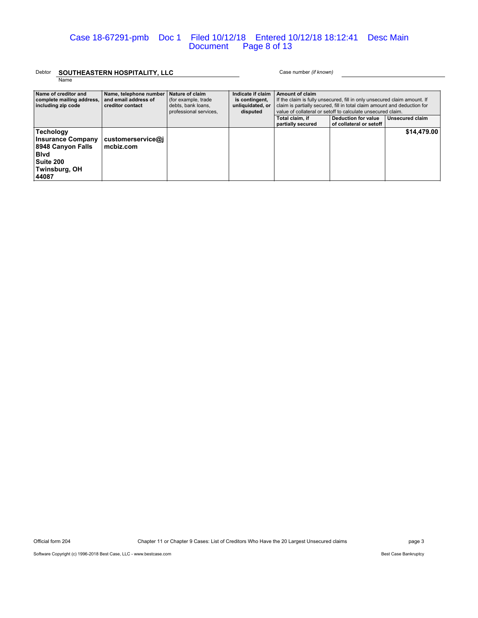## Debtor **SOUTHEASTERN HOSPITALITY, LLC** Case number *(if known)*

Name

| Name of creditor and<br>complete mailing address,<br>including zip code                                          | Name, telephone number<br>and email address of<br>creditor contact | Nature of claim<br>(for example, trade)<br>debts, bank loans.<br>professional services. | Indicate if claim<br>is contingent,<br>unliquidated, or<br>disputed | Amount of claim<br>If the claim is fully unsecured, fill in only unsecured claim amount. If<br>claim is partially secured, fill in total claim amount and deduction for<br>value of collateral or setoff to calculate unsecured claim. |                                                |                 |
|------------------------------------------------------------------------------------------------------------------|--------------------------------------------------------------------|-----------------------------------------------------------------------------------------|---------------------------------------------------------------------|----------------------------------------------------------------------------------------------------------------------------------------------------------------------------------------------------------------------------------------|------------------------------------------------|-----------------|
|                                                                                                                  |                                                                    |                                                                                         |                                                                     | Total claim, if<br>partially secured                                                                                                                                                                                                   | Deduction for value<br>of collateral or setoff | Unsecured claim |
| Techology<br><b>Insurance Company</b><br>8948 Canyon Falls<br><b>Blvd</b><br>Suite 200<br>Twinsburg, OH<br>44087 | customerservice@i<br>mcbiz.com                                     |                                                                                         |                                                                     |                                                                                                                                                                                                                                        |                                                | \$14,479.00     |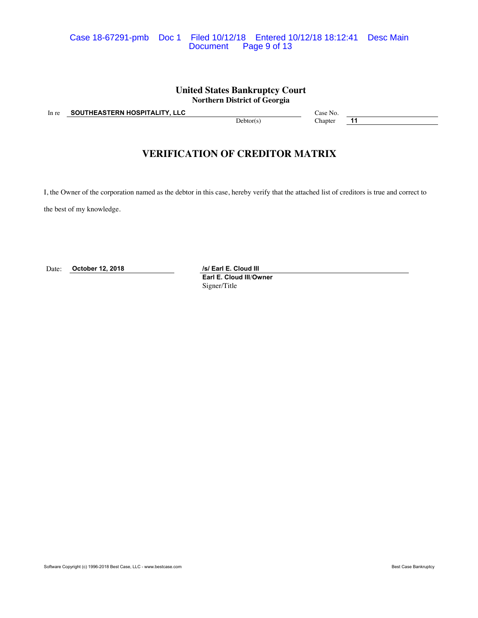## Case 18-67291-pmb Doc 1 Filed 10/12/18 Entered 10/12/18 18:12:41 Desc Main Page 9 of 13

## **United States Bankruptcy Court Northern District of Georgia**

In re **SOUTHEASTERN HOSPITALITY, LLC** Case No.

Debtor(s) Chapter **11** 

## **VERIFICATION OF CREDITOR MATRIX**

I, the Owner of the corporation named as the debtor in this case, hereby verify that the attached list of creditors is true and correct to

the best of my knowledge.

Date: **October 12, 2018** */s/ Earl E. Cloud III* 

**Earl E. Cloud III**/**Owner** Signer/Title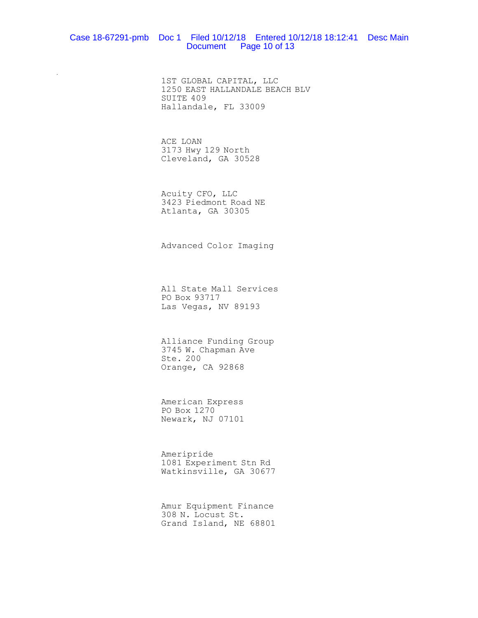#### Case 18-67291-pmb Doc 1 Filed 10/12/18 Entered 10/12/18 18:12:41 Desc Main Document Page 10 of 13

1ST GLOBAL CAPITAL, LLC 1250 EAST HALLANDALE BEACH BLV SUITE 409 Hallandale, FL 33009

ACE LOAN 3173 Hwy 129 North Cleveland, GA 30528

 $\ddot{\phantom{}}$ 

Acuity CFO, LLC 3423 Piedmont Road NE Atlanta, GA 30305

Advanced Color Imaging

All State Mall Services PO Box 93717 Las Vegas, NV 89193

Alliance Funding Group 3745 W. Chapman Ave Ste. 200 Orange, CA 92868

American Express PO Box 1270 Newark, NJ 07101

Ameripride 1081 Experiment Stn Rd Watkinsville, GA 30677

Amur Equipment Finance 308 N. Locust St. Grand Island, NE 68801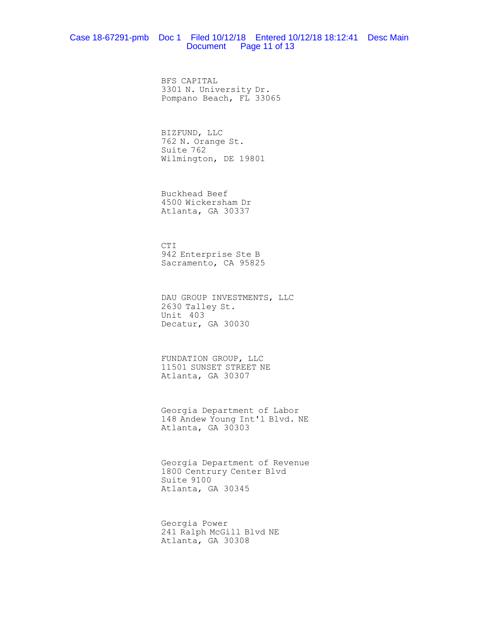## Case 18-67291-pmb Doc 1 Filed 10/12/18 Entered 10/12/18 18:12:41 Desc Main Document Page 11 of 13

BFS CAPITAL 3301 N. University Dr. Pompano Beach, FL 33065

BIZFUND, LLC 762 N. Orange St. Suite 762 Wilmington, DE 19801

Buckhead Beef 4500 Wickersham Dr Atlanta, GA 30337

CTI 942 Enterprise Ste B Sacramento, CA 95825

DAU GROUP INVESTMENTS, LLC 2630 Talley St. Unit 403 Decatur, GA 30030

FUNDATION GROUP, LLC 11501 SUNSET STREET NE Atlanta, GA 30307

Georgia Department of Labor 148 Andew Young Int'l Blvd. NE Atlanta, GA 30303

Georgia Department of Revenue 1800 Centrury Center Blvd Suite 9100 Atlanta, GA 30345

Georgia Power 241 Ralph McGill Blvd NE Atlanta, GA 30308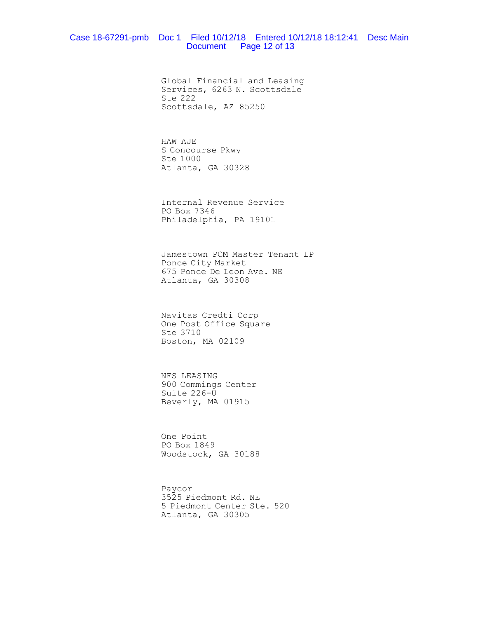## Case 18-67291-pmb Doc 1 Filed 10/12/18 Entered 10/12/18 18:12:41 Desc Main Document Page 12 of 13

Global Financial and Leasing Services, 6263 N. Scottsdale Ste 222 Scottsdale, AZ 85250

HAW AJE S Concourse Pkwy Ste 1000 Atlanta, GA 30328

Internal Revenue Service PO Box 7346 Philadelphia, PA 19101

Jamestown PCM Master Tenant LP Ponce City Market 675 Ponce De Leon Ave. NE Atlanta, GA 30308

Navitas Credti Corp One Post Office Square Ste 3710 Boston, MA 02109

NFS LEASING 900 Commings Center Suite 226-U Beverly, MA 01915

One Point PO Box 1849 Woodstock, GA 30188

Paycor 3525 Piedmont Rd. NE 5 Piedmont Center Ste. 520 Atlanta, GA 30305